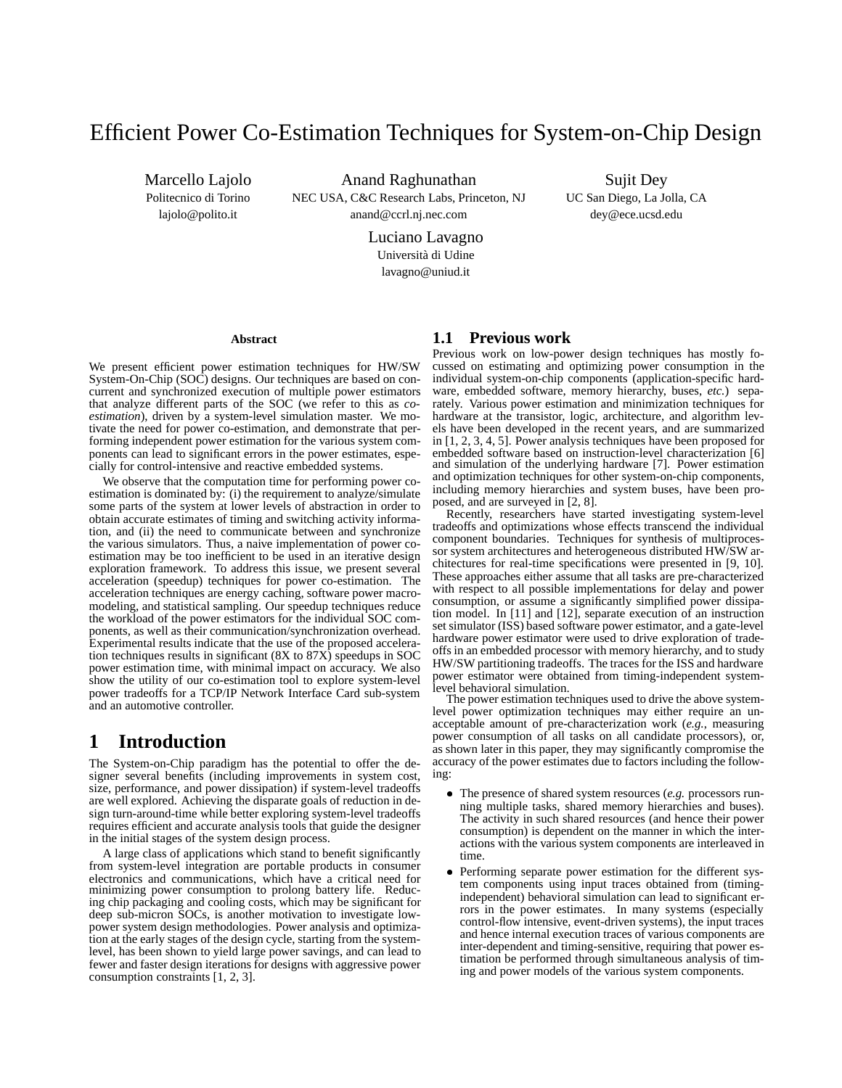# Efficient Power Co-Estimation Techniques for System-on-Chip Design

Marcello Lajolo Politecnico di Torino lajolo@polito.it

Anand Raghunathan NEC USA, C&C Research Labs, Princeton, NJ anand@ccrl.nj.nec.com

Sujit Dey UC San Diego, La Jolla, CA dey@ece.ucsd.edu

Luciano Lavagno Università di Udine lavagno@uniud.it

#### **Abstract**

We present efficient power estimation techniques for HW/SW System-On-Chip (SOC) designs. Our techniques are based on concurrent and synchronized execution of multiple power estimators that analyze different parts of the SOC (we refer to this as *coestimation*), driven by a system-level simulation master. We motivate the need for power co-estimation, and demonstrate that performing independent power estimation for the various system components can lead to significant errors in the power estimates, especially for control-intensive and reactive embedded systems.

We observe that the computation time for performing power coestimation is dominated by: (i) the requirement to analyze/simulate some parts of the system at lower levels of abstraction in order to obtain accurate estimates of timing and switching activity information, and (ii) the need to communicate between and synchronize the various simulators. Thus, a naive implementation of power coestimation may be too inefficient to be used in an iterative design exploration framework. To address this issue, we present several acceleration (speedup) techniques for power co-estimation. The acceleration techniques are energy caching, software power macromodeling, and statistical sampling. Our speedup techniques reduce the workload of the power estimators for the individual SOC components, as well as their communication/synchronization overhead. Experimental results indicate that the use of the proposed acceleration techniques results in significant (8X to 87X) speedups in SOC power estimation time, with minimal impact on accuracy. We also show the utility of our co-estimation tool to explore system-level power tradeoffs for a TCP/IP Network Interface Card sub-system and an automotive controller.

# **1 Introduction**

The System-on-Chip paradigm has the potential to offer the designer several benefits (including improvements in system cost, size, performance, and power dissipation) if system-level tradeoffs are well explored. Achieving the disparate goals of reduction in design turn-around-time while better exploring system-level tradeoffs requires efficient and accurate analysis tools that guide the designer in the initial stages of the system design process.

A large class of applications which stand to benefit significantly from system-level integration are portable products in consumer electronics and communications, which have a critical need for minimizing power consumption to prolong battery life. Reducing chip packaging and cooling costs, which may be significant for deep sub-micron SOCs, is another motivation to investigate lowpower system design methodologies. Power analysis and optimization at the early stages of the design cycle, starting from the systemlevel, has been shown to yield large power savings, and can lead to fewer and faster design iterations for designs with aggressive power consumption constraints [1, 2, 3].

### **1.1 Previous work**

Previous work on low-power design techniques has mostly focussed on estimating and optimizing power consumption in the individual system-on-chip components (application-specific hardware, embedded software, memory hierarchy, buses, *etc.*) separately. Various power estimation and minimization techniques for hardware at the transistor, logic, architecture, and algorithm levels have been developed in the recent years, and are summarized in [1, 2, 3, 4, 5]. Power analysis techniques have been proposed for embedded software based on instruction-level characterization [6] and simulation of the underlying hardware [7]. Power estimation and optimization techniques for other system-on-chip components, including memory hierarchies and system buses, have been proposed, and are surveyed in [2, 8].

Recently, researchers have started investigating system-level tradeoffs and optimizations whose effects transcend the individual component boundaries. Techniques for synthesis of multiprocessor system architectures and heterogeneous distributed HW/SW architectures for real-time specifications were presented in [9, 10]. These approaches either assume that all tasks are pre-characterized with respect to all possible implementations for delay and power consumption, or assume a significantly simplified power dissipation model. In [11] and [12], separate execution of an instruction set simulator (ISS) based software power estimator, and a gate-level hardware power estimator were used to drive exploration of tradeoffs in an embedded processor with memory hierarchy, and to study HW/SW partitioning tradeoffs. The traces for the ISS and hardware power estimator were obtained from timing-independent systemlevel behavioral simulation.

The power estimation techniques used to drive the above systemlevel power optimization techniques may either require an unacceptable amount of pre-characterization work (*e.g.*, measuring power consumption of all tasks on all candidate processors), or, as shown later in this paper, they may significantly compromise the accuracy of the power estimates due to factors including the following:

- The presence of shared system resources (*e.g.* processors running multiple tasks, shared memory hierarchies and buses). The activity in such shared resources (and hence their power consumption) is dependent on the manner in which the interactions with the various system components are interleaved in time.
- Performing separate power estimation for the different system components using input traces obtained from (timingindependent) behavioral simulation can lead to significant errors in the power estimates. In many systems (especially control-flow intensive, event-driven systems), the input traces and hence internal execution traces of various components are inter-dependent and timing-sensitive, requiring that power estimation be performed through simultaneous analysis of timing and power models of the various system components.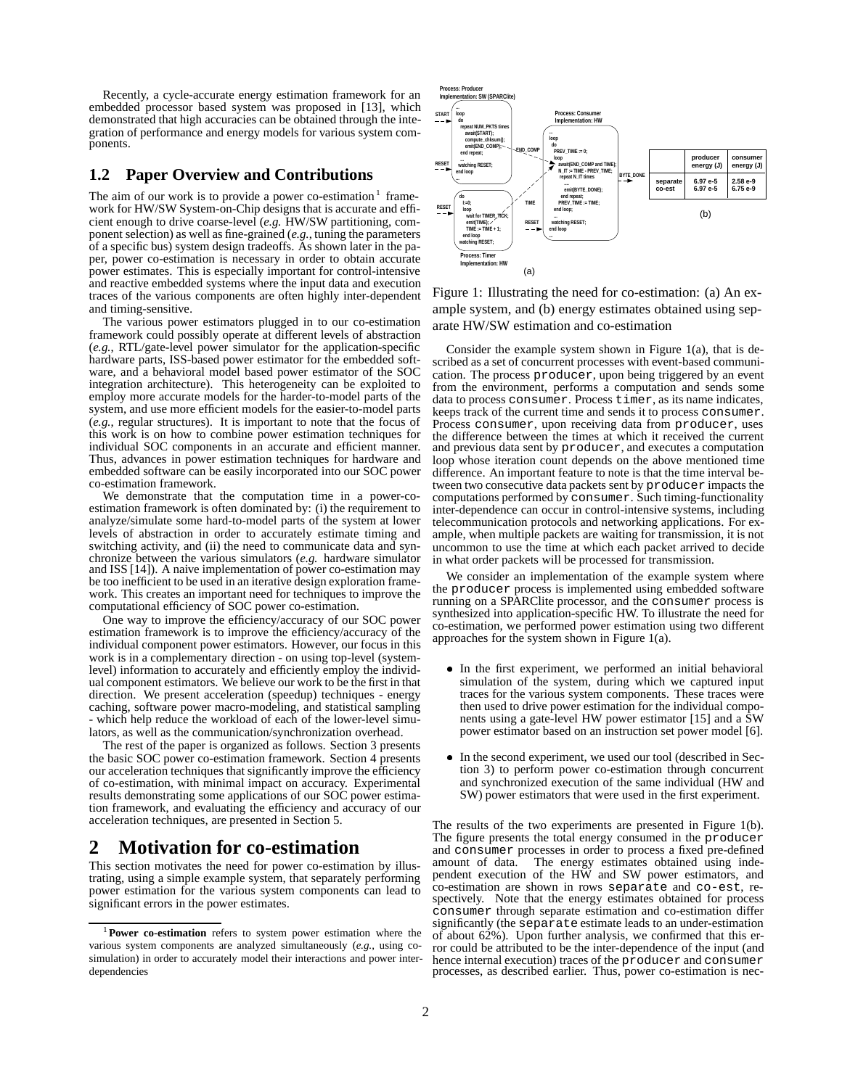Recently, a cycle-accurate energy estimation framework for an embedded processor based system was proposed in [13], which demonstrated that high accuracies can be obtained through the integration of performance and energy models for various system components.

### **1.2 Paper Overview and Contributions**

The aim of our work is to provide a power co-estimation  $\frac{1}{1}$  framework for HW/SW System-on-Chip designs that is accurate and efficient enough to drive coarse-level (*e.g.* HW/SW partitioning, component selection) as well as fine-grained (*e.g.*, tuning the parameters of a specific bus) system design tradeoffs. As shown later in the paper, power co-estimation is necessary in order to obtain accurate power estimates. This is especially important for control-intensive and reactive embedded systems where the input data and execution traces of the various components are often highly inter-dependent and timing-sensitive.

The various power estimators plugged in to our co-estimation framework could possibly operate at different levels of abstraction (*e.g.*, RTL/gate-level power simulator for the application-specific hardware parts, ISS-based power estimator for the embedded software, and a behavioral model based power estimator of the SOC integration architecture). This heterogeneity can be exploited to employ more accurate models for the harder-to-model parts of the system, and use more efficient models for the easier-to-model parts (*e.g.*, regular structures). It is important to note that the focus of this work is on how to combine power estimation techniques for individual SOC components in an accurate and efficient manner. Thus, advances in power estimation techniques for hardware and embedded software can be easily incorporated into our SOC power co-estimation framework.

We demonstrate that the computation time in a power-coestimation framework is often dominated by: (i) the requirement to analyze/simulate some hard-to-model parts of the system at lower levels of abstraction in order to accurately estimate timing and switching activity, and (ii) the need to communicate data and synchronize between the various simulators (*e.g.* hardware simulator and ISS [14]). A naive implementation of power co-estimation may be too inefficient to be used in an iterative design exploration framework. This creates an important need for techniques to improve the computational efficiency of SOC power co-estimation.

One way to improve the efficiency/accuracy of our SOC power estimation framework is to improve the efficiency/accuracy of the individual component power estimators. However, our focus in this work is in a complementary direction - on using top-level (systemlevel) information to accurately and efficiently employ the individual component estimators. We believe our work to be the first in that direction. We present acceleration (speedup) techniques - energy caching, software power macro-modeling, and statistical sampling - which help reduce the workload of each of the lower-level simulators, as well as the communication/synchronization overhead.

The rest of the paper is organized as follows. Section 3 presents the basic SOC power co-estimation framework. Section 4 presents our acceleration techniques that significantly improve the efficiency of co-estimation, with minimal impact on accuracy. Experimental results demonstrating some applications of our SOC power estimation framework, and evaluating the efficiency and accuracy of our acceleration techniques, are presented in Section 5.

## **2 Motivation for co-estimation**

This section motivates the need for power co-estimation by illustrating, using a simple example system, that separately performing power estimation for the various system components can lead to significant errors in the power estimates.



Figure 1: Illustrating the need for co-estimation: (a) An example system, and (b) energy estimates obtained using separate HW/SW estimation and co-estimation

Consider the example system shown in Figure 1(a), that is described as a set of concurrent processes with event-based communication. The process producer, upon being triggered by an event from the environment, performs a computation and sends some data to process consumer. Process timer, as its name indicates, keeps track of the current time and sends it to process consumer. Process consumer, upon receiving data from producer, uses the difference between the times at which it received the current and previous data sent by producer, and executes a computation loop whose iteration count depends on the above mentioned time difference. An important feature to note is that the time interval between two consecutive data packets sent by producer impacts the computations performed by consumer. Such timing-functionality inter-dependence can occur in control-intensive systems, including telecommunication protocols and networking applications. For example, when multiple packets are waiting for transmission, it is not uncommon to use the time at which each packet arrived to decide in what order packets will be processed for transmission.

We consider an implementation of the example system where the producer process is implemented using embedded software running on a SPARClite processor, and the consumer process is synthesized into application-specific HW. To illustrate the need for co-estimation, we performed power estimation using two different approaches for the system shown in Figure 1(a).

- In the first experiment, we performed an initial behavioral simulation of the system, during which we captured input traces for the various system components. These traces were then used to drive power estimation for the individual components using a gate-level HW power estimator [15] and a SW power estimator based on an instruction set power model [6].
- In the second experiment, we used our tool (described in Section 3) to perform power co-estimation through concurrent and synchronized execution of the same individual (HW and SW) power estimators that were used in the first experiment.

The results of the two experiments are presented in Figure 1(b). The figure presents the total energy consumed in the producer and consumer processes in order to process a fixed pre-defined amount of data. The energy estimates obtained using independent execution of the HW and SW power estimators, and co-estimation are shown in rows separate and co-est, respectively. Note that the energy estimates obtained for process consumer through separate estimation and co-estimation differ significantly (the separate estimate leads to an under-estimation of about 62%). Upon further analysis, we confirmed that this error could be attributed to be the inter-dependence of the input (and hence internal execution) traces of the producer and consumer processes, as described earlier. Thus, power co-estimation is nec-

<sup>1</sup> **Power co-estimation** refers to system power estimation where the various system components are analyzed simultaneously (*e.g.*, using cosimulation) in order to accurately model their interactions and power interdependencies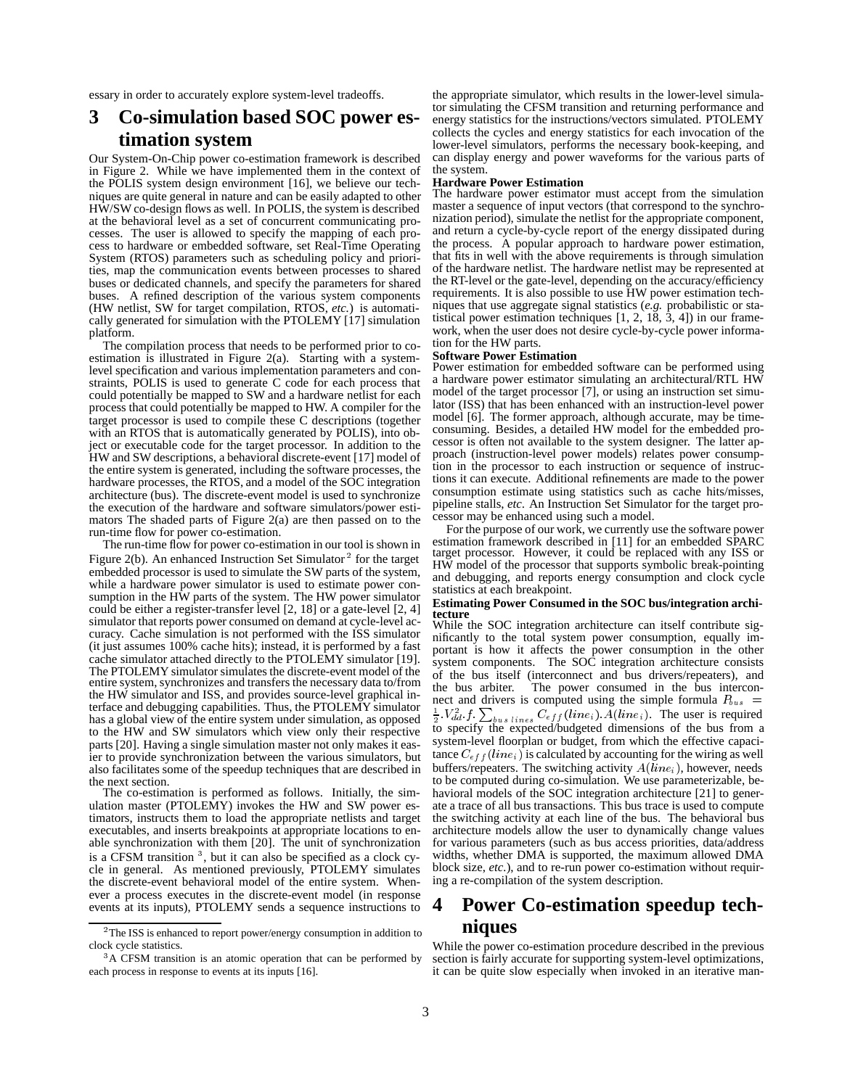essary in order to accurately explore system-level tradeoffs.

# **3 Co-simulation based SOC power estimation system**

Our System-On-Chip power co-estimation framework is described in Figure 2. While we have implemented them in the context of the POLIS system design environment [16], we believe our techniques are quite general in nature and can be easily adapted to other HW/SW co-design flows as well. In POLIS, the system is described at the behavioral level as a set of concurrent communicating processes. The user is allowed to specify the mapping of each process to hardware or embedded software, set Real-Time Operating System (RTOS) parameters such as scheduling policy and priorities, map the communication events between processes to shared buses or dedicated channels, and specify the parameters for shared buses. A refined description of the various system components (HW netlist, SW for target compilation, RTOS, *etc.*) is automatically generated for simulation with the PTOLEMY [17] simulation platform.

The compilation process that needs to be performed prior to coestimation is illustrated in Figure 2(a). Starting with a systemlevel specification and various implementation parameters and constraints, POLIS is used to generate C code for each process that could potentially be mapped to SW and a hardware netlist for each process that could potentially be mapped to HW. A compiler for the target processor is used to compile these C descriptions (together with an RTOS that is automatically generated by POLIS), into object or executable code for the target processor. In addition to the HW and SW descriptions, a behavioral discrete-event [17] model of the entire system is generated, including the software processes, the hardware processes, the RTOS, and a model of the SOC integration architecture (bus). The discrete-event model is used to synchronize the execution of the hardware and software simulators/power estimators The shaded parts of Figure 2(a) are then passed on to the run-time flow for power co-estimation.

The run-time flow for power co-estimation in our tool is shown in Figure  $2(b)$ . An enhanced Instruction Set Simulator<sup>2</sup> for the target embedded processor is used to simulate the SW parts of the system, while a hardware power simulator is used to estimate power consumption in the HW parts of the system. The HW power simulator could be either a register-transfer level [2, 18] or a gate-level [2, 4] simulator that reports power consumed on demand at cycle-level accuracy. Cache simulation is not performed with the ISS simulator (it just assumes 100% cache hits); instead, it is performed by a fast cache simulator attached directly to the PTOLEMY simulator [19]. The PTOLEMY simulator simulates the discrete-event model of the entire system, synchronizes and transfers the necessary data to/from the HW simulator and ISS, and provides source-level graphical interface and debugging capabilities. Thus, the PTOLEMY simulator has a global view of the entire system under simulation, as opposed to the HW and SW simulators which view only their respective parts [20]. Having a single simulation master not only makes it easier to provide synchronization between the various simulators, but also facilitates some of the speedup techniques that are described in the next section.

The co-estimation is performed as follows. Initially, the simulation master (PTOLEMY) invokes the HW and SW power estimators, instructs them to load the appropriate netlists and target executables, and inserts breakpoints at appropriate locations to enable synchronization with them [20]. The unit of synchronization is a CFSM transition  $3$ , but it can also be specified as a clock cycle in general. As mentioned previously, PTOLEMY simulates the discrete-event behavioral model of the entire system. Whenever a process executes in the discrete-event model (in response events at its inputs), PTOLEMY sends a sequence instructions to

the appropriate simulator, which results in the lower-level simulator simulating the CFSM transition and returning performance and energy statistics for the instructions/vectors simulated. PTOLEMY collects the cycles and energy statistics for each invocation of the lower-level simulators, performs the necessary book-keeping, and can display energy and power waveforms for the various parts of the system.

#### **Hardware Power Estimation**

The hardware power estimator must accept from the simulation master a sequence of input vectors (that correspond to the synchronization period), simulate the netlist for the appropriate component, and return a cycle-by-cycle report of the energy dissipated during the process. A popular approach to hardware power estimation, that fits in well with the above requirements is through simulation of the hardware netlist. The hardware netlist may be represented at the RT-level or the gate-level, depending on the accuracy/efficiency requirements. It is also possible to use HW power estimation techniques that use aggregate signal statistics (*e.g.* probabilistic or statistical power estimation techniques [1, 2, 18, 3, 4]) in our framework, when the user does not desire cycle-by-cycle power information for the HW parts.

### **Software Power Estimation**

Power estimation for embedded software can be performed using a hardware power estimator simulating an architectural/RTL HW model of the target processor [7], or using an instruction set simulator (ISS) that has been enhanced with an instruction-level power model [6]. The former approach, although accurate, may be timeconsuming. Besides, a detailed HW model for the embedded processor is often not available to the system designer. The latter approach (instruction-level power models) relates power consumption in the processor to each instruction or sequence of instructions it can execute. Additional refinements are made to the power consumption estimate using statistics such as cache hits/misses, pipeline stalls, *etc*. An Instruction Set Simulator for the target processor may be enhanced using such a model.

For the purpose of our work, we currently use the software power estimation framework described in [11] for an embedded SPARC target processor. However, it could be replaced with any ISS or HW model of the processor that supports symbolic break-pointing and debugging, and reports energy consumption and clock cycle statistics at each breakpoint.

### **Estimating Power Consumed in the SOC bus/integration architecture**

While the SOC integration architecture can itself contribute significantly to the total system power consumption, equally important is how it affects the power consumption in the other system components. The SOC integration architecture consists of the bus itself (interconnect and bus drivers/repeaters), and the bus arbiter. The power consumed in the bus interconnect and drivers is computed using the simple formula  $P_{bus}$  =  $\frac{1}{2} V_{dd}^2 f$ .  $\sum_{bus \ line s} C_{eff}(line_i) A(line_i)$ . The user is required to specify the expected/budgeted dimensions of the bus from a system-level floorplan or budget, from which the effective capacitance  $C_{eff}(line_i)$  is calculated by accounting for the wiring as well buffers/repeaters. The switching activity  $A(line_i)$ , however, needs to be computed during co-simulation. We use parameterizable, behavioral models of the SOC integration architecture [21] to generate a trace of all bus transactions. This bus trace is used to compute the switching activity at each line of the bus. The behavioral bus architecture models allow the user to dynamically change values for various parameters (such as bus access priorities, data/address widths, whether DMA is supported, the maximum allowed DMA block size, *etc.*), and to re-run power co-estimation without requiring a re-compilation of the system description.

# **4 Power Co-estimation speedup techniques**

While the power co-estimation procedure described in the previous section is fairly accurate for supporting system-level optimizations, it can be quite slow especially when invoked in an iterative man-

<sup>&</sup>lt;sup>2</sup>The ISS is enhanced to report power/energy consumption in addition to clock cycle statistics.

<sup>&</sup>lt;sup>3</sup>A CFSM transition is an atomic operation that can be performed by each process in response to events at its inputs [16].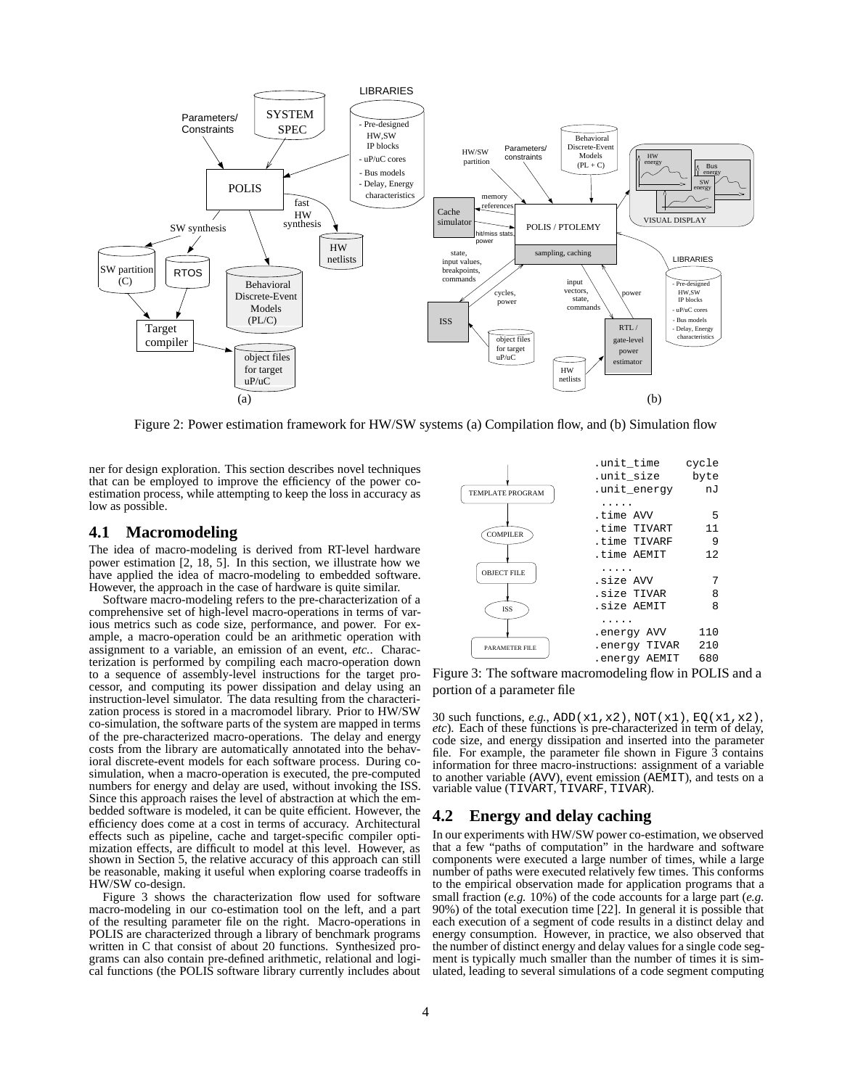

Figure 2: Power estimation framework for HW/SW systems (a) Compilation flow, and (b) Simulation flow

ner for design exploration. This section describes novel techniques that can be employed to improve the efficiency of the power coestimation process, while attempting to keep the loss in accuracy as low as possible.

### **4.1 Macromodeling**

The idea of macro-modeling is derived from RT-level hardware power estimation [2, 18, 5]. In this section, we illustrate how we have applied the idea of macro-modeling to embedded software. However, the approach in the case of hardware is quite similar.

Software macro-modeling refers to the pre-characterization of a comprehensive set of high-level macro-operations in terms of various metrics such as code size, performance, and power. For example, a macro-operation could be an arithmetic operation with assignment to a variable, an emission of an event, *etc.*. Characterization is performed by compiling each macro-operation down to a sequence of assembly-level instructions for the target processor, and computing its power dissipation and delay using an instruction-level simulator. The data resulting from the characterization process is stored in a macromodel library. Prior to HW/SW co-simulation, the software parts of the system are mapped in terms of the pre-characterized macro-operations. The delay and energy costs from the library are automatically annotated into the behavioral discrete-event models for each software process. During cosimulation, when a macro-operation is executed, the pre-computed numbers for energy and delay are used, without invoking the ISS. Since this approach raises the level of abstraction at which the embedded software is modeled, it can be quite efficient. However, the efficiency does come at a cost in terms of accuracy. Architectural effects such as pipeline, cache and target-specific compiler optimization effects, are difficult to model at this level. However, as shown in Section 5, the relative accuracy of this approach can still be reasonable, making it useful when exploring coarse tradeoffs in HW/SW co-design.

Figure 3 shows the characterization flow used for software macro-modeling in our co-estimation tool on the left, and a part of the resulting parameter file on the right. Macro-operations in POLIS are characterized through a library of benchmark programs written in C that consist of about 20 functions. Synthesized programs can also contain pre-defined arithmetic, relational and logical functions (the POLIS software library currently includes about



Figure 3: The software macromodeling flow in POLIS and a portion of a parameter file

30 such functions, *e.g.*,  $ADD(x1, x2)$ ,  $NOT(x1)$ ,  $EQ(x1, x2)$ , *etc*). Each of these functions is pre-characterized in term of delay, code size, and energy dissipation and inserted into the parameter file. For example, the parameter file shown in Figure 3 contains information for three macro-instructions: assignment of a variable to another variable (AVV), event emission (AEMIT), and tests on a variable value (TIVART, TIVARF, TIVAR).

### **4.2 Energy and delay caching**

In our experiments with HW/SW power co-estimation, we observed that a few "paths of computation" in the hardware and software components were executed a large number of times, while a large number of paths were executed relatively few times. This conforms to the empirical observation made for application programs that a small fraction (*e.g.* 10%) of the code accounts for a large part (*e.g.* 90%) of the total execution time [22]. In general it is possible that each execution of a segment of code results in a distinct delay and energy consumption. However, in practice, we also observed that the number of distinct energy and delay values for a single code segment is typically much smaller than the number of times it is simulated, leading to several simulations of a code segment computing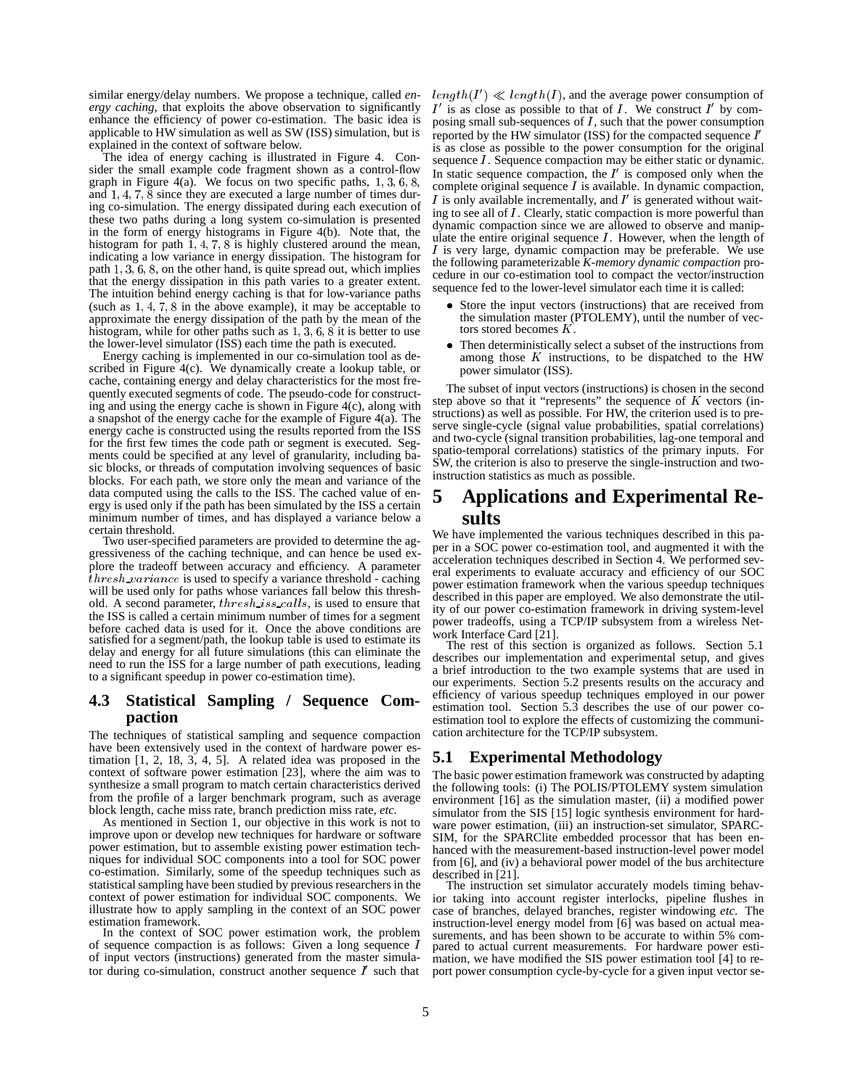similar energy/delay numbers. We propose a technique, called *energy caching*, that exploits the above observation to significantly enhance the efficiency of power co-estimation. The basic idea is applicable to HW simulation as well as SW (ISS) simulation, but is explained in the context of software below.

The idea of energy caching is illustrated in Figure 4. Consider the small example code fragment shown as a control-flow graph in Figure 4(a). We focus on two specific paths,  $1, 3, 6, 8$ , and  $1, 4, 7, 8$  since they are executed a large number of times during co-simulation. The energy dissipated during each execution of these two paths during a long system co-simulation is presented in the form of energy histograms in Figure 4(b). Note that, the histogram for path  $1, 4, 7, 8$  is highly clustered around the mean, indicating a low variance in energy dissipation. The histogram for path  $1, 3, 6, 8$ , on the other hand, is quite spread out, which implies that the energy dissipation in this path varies to a greater extent. The intuition behind energy caching is that for low-variance paths (such as  $1, 4, 7, 8$  in the above example), it may be acceptable to approximate the energy dissipation of the path by the mean of the histogram, while for other paths such as  $1, 3, 6, 8$  it is better to use the lower-level simulator (ISS) each time the path is executed.

Energy caching is implemented in our co-simulation tool as described in Figure 4(c). We dynamically create a lookup table, or cache, containing energy and delay characteristics for the most frequently executed segments of code. The pseudo-code for constructing and using the energy cache is shown in Figure 4(c), along with a snapshot of the energy cache for the example of Figure 4(a). The energy cache is constructed using the results reported from the ISS for the first few times the code path or segment is executed. Segments could be specified at any level of granularity, including basic blocks, or threads of computation involving sequences of basic blocks. For each path, we store only the mean and variance of the data computed using the calls to the ISS. The cached value of energy is used only if the path has been simulated by the ISS a certain minimum number of times, and has displayed a variance below a certain threshold.

Two user-specified parameters are provided to determine the aggressiveness of the caching technique, and can hence be used explore the tradeoff between accuracy and efficiency. A parameter thresh variance is used to specify a variance threshold - caching will be used only for paths whose variances fall below this threshold. A second parameter, *thresh\_iss\_calls*, is used to ensure that the ISS is called a certain minimum number of times for a segment before cached data is used for it. Once the above conditions are satisfied for a segment/path, the lookup table is used to estimate its delay and energy for all future simulations (this can eliminate the need to run the ISS for a large number of path executions, leading to a significant speedup in power co-estimation time).

## **4.3 Statistical Sampling / Sequence Compaction**

The techniques of statistical sampling and sequence compaction have been extensively used in the context of hardware power estimation [1, 2, 18, 3, 4, 5]. A related idea was proposed in the context of software power estimation [23], where the aim was to synthesize a small program to match certain characteristics derived from the profile of a larger benchmark program, such as average block length, cache miss rate, branch prediction miss rate, *etc.*

As mentioned in Section 1, our objective in this work is not to improve upon or develop new techniques for hardware or software power estimation, but to assemble existing power estimation techniques for individual SOC components into a tool for SOC power co-estimation. Similarly, some of the speedup techniques such as statistical sampling have been studied by previous researchers in the context of power estimation for individual SOC components. We illustrate how to apply sampling in the context of an SOC power estimation framework.

In the context of SOC power estimation work, the problem of sequence compaction is as follows: Given a long sequence I of input vectors (instructions) generated from the master simulator during co-simulation, construct another sequence  $\vec{I}$  such that

 $length(I') \ll length(I)$ , and the average power consumption of  $I'$  is as close as possible to that of I. We construct  $I'$  by composing small sub-sequences of  $I$ , such that the power consumption reported by the HW simulator (ISS) for the compacted sequence  $I$ is as close as possible to the power consumption for the original sequence *I*. Sequence compaction may be either static or dynamic. In static sequence compaction, the  $I'$  is composed only when the complete original sequence  $I$  is available. In dynamic compaction, I is only available incrementally, and  $I'$  is generated without waiting to see all of  $I$ . Clearly, static compaction is more powerful than dynamic compaction since we are allowed to observe and manipulate the entire original sequence  $I$ . However, when the length of  $I$  is very large, dynamic compaction may be preferable. We use the following parameterizable *K-memory dynamic compaction* procedure in our co-estimation tool to compact the vector/instruction sequence fed to the lower-level simulator each time it is called:

- Store the input vectors (instructions) that are received from the simulation master (PTOLEMY), until the number of vectors stored becomes  $K$ .
- Then deterministically select a subset of the instructions from among those  $K$  instructions, to be dispatched to the HW power simulator (ISS).

The subset of input vectors (instructions) is chosen in the second step above so that it "represents" the sequence of  $K$  vectors (instructions) as well as possible. For HW, the criterion used is to preserve single-cycle (signal value probabilities, spatial correlations) and two-cycle (signal transition probabilities, lag-one temporal and spatio-temporal correlations) statistics of the primary inputs. For SW, the criterion is also to preserve the single-instruction and twoinstruction statistics as much as possible.

# **5 Applications and Experimental Results**

We have implemented the various techniques described in this paper in a SOC power co-estimation tool, and augmented it with the acceleration techniques described in Section 4. We performed several experiments to evaluate accuracy and efficiency of our SOC power estimation framework when the various speedup techniques described in this paper are employed. We also demonstrate the utility of our power co-estimation framework in driving system-level power tradeoffs, using a TCP/IP subsystem from a wireless Network Interface Card [21].

The rest of this section is organized as follows. Section 5.1 describes our implementation and experimental setup, and gives a brief introduction to the two example systems that are used in our experiments. Section 5.2 presents results on the accuracy and efficiency of various speedup techniques employed in our power estimation tool. Section 5.3 describes the use of our power coestimation tool to explore the effects of customizing the communication architecture for the TCP/IP subsystem.

## **5.1 Experimental Methodology**

The basic power estimation framework was constructed by adapting the following tools: (i) The POLIS/PTOLEMY system simulation environment [16] as the simulation master, (ii) a modified power simulator from the SIS [15] logic synthesis environment for hardware power estimation, (iii) an instruction-set simulator, SPARC-SIM, for the SPARClite embedded processor that has been enhanced with the measurement-based instruction-level power model from [6], and (iv) a behavioral power model of the bus architecture described in [21].

The instruction set simulator accurately models timing behavior taking into account register interlocks, pipeline flushes in case of branches, delayed branches, register windowing *etc*. The instruction-level energy model from [6] was based on actual measurements, and has been shown to be accurate to within 5% compared to actual current measurements. For hardware power estimation, we have modified the SIS power estimation tool [4] to report power consumption cycle-by-cycle for a given input vector se-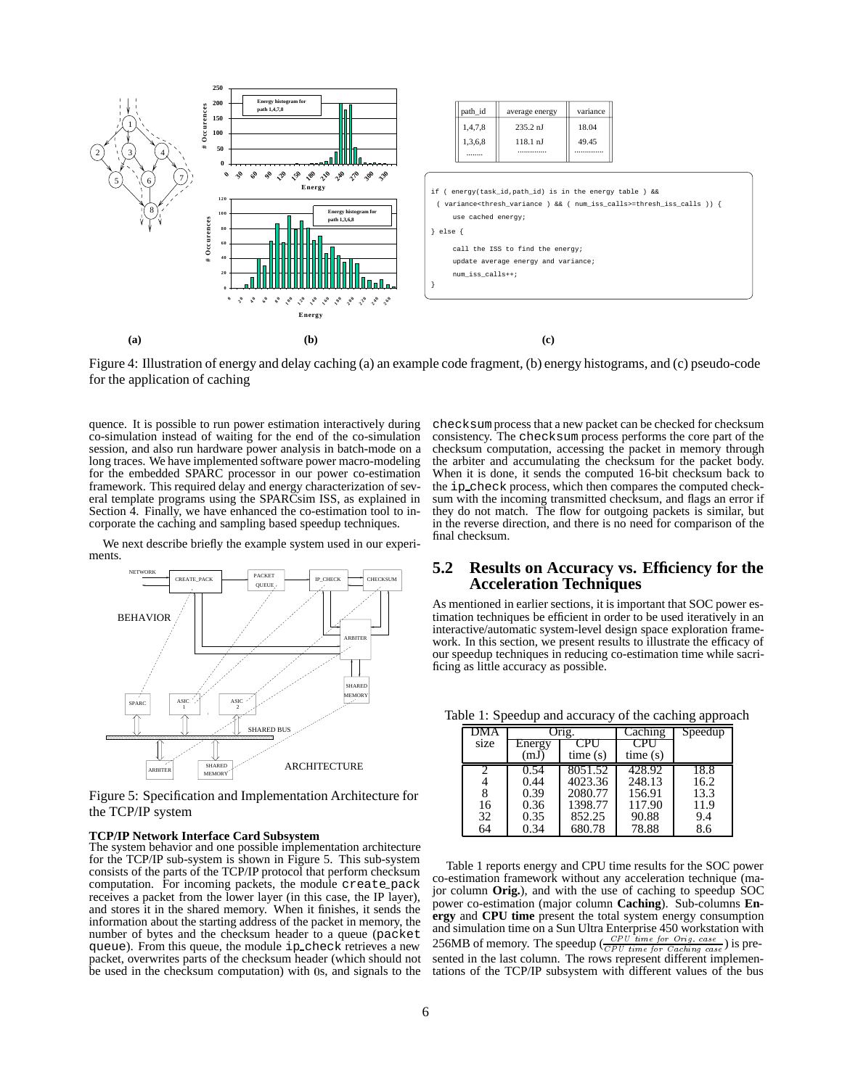

Figure 4: Illustration of energy and delay caching (a) an example code fragment, (b) energy histograms, and (c) pseudo-code for the application of caching

quence. It is possible to run power estimation interactively during co-simulation instead of waiting for the end of the co-simulation session, and also run hardware power analysis in batch-mode on a long traces. We have implemented software power macro-modeling for the embedded SPARC processor in our power co-estimation framework. This required delay and energy characterization of several template programs using the SPARCsim ISS, as explained in Section 4. Finally, we have enhanced the co-estimation tool to incorporate the caching and sampling based speedup techniques.

We next describe briefly the example system used in our experiments.



Figure 5: Specification and Implementation Architecture for the TCP/IP system

#### **TCP/IP Network Interface Card Subsystem**

The system behavior and one possible implementation architecture for the TCP/IP sub-system is shown in Figure 5. This sub-system consists of the parts of the TCP/IP protocol that perform checksum computation. For incoming packets, the module create pack receives a packet from the lower layer (in this case, the IP layer), and stores it in the shared memory. When it finishes, it sends the information about the starting address of the packet in memory, the number of bytes and the checksum header to a queue (packet queue). From this queue, the module ip check retrieves a new packet, overwrites parts of the checksum header (which should not be used in the checksum computation) with <sup>0</sup>s, and signals to the checksum process that a new packet can be checked for checksum consistency. The checksum process performs the core part of the checksum computation, accessing the packet in memory through the arbiter and accumulating the checksum for the packet body. When it is done, it sends the computed 16-bit checksum back to the ip check process, which then compares the computed checksum with the incoming transmitted checksum, and flags an error if they do not match. The flow for outgoing packets is similar, but in the reverse direction, and there is no need for comparison of the final checksum.

## **5.2 Results on Accuracy vs. Efficiency for the Acceleration Techniques**

As mentioned in earlier sections, it is important that SOC power estimation techniques be efficient in order to be used iteratively in an interactive/automatic system-level design space exploration framework. In this section, we present results to illustrate the efficacy of our speedup techniques in reducing co-estimation time while sacrificing as little accuracy as possible.

Table 1: Speedup and accuracy of the caching approach

|      |        |         | Caching | Speedup |  |
|------|--------|---------|---------|---------|--|
| size | Energy | CPU     | CPU     |         |  |
|      | (mJ    | time(s) | time(s) |         |  |
|      | 0.54   | 8051.52 | 428.92  | 18.8    |  |
|      | 0.44   | 4023.36 | 248.13  | 16.2    |  |
|      | 0.39   | 2080.77 | 156.91  | 13.3    |  |
| 16   | 0.36   | 1398.77 | 117.90  | 11.9    |  |
| 32   | 0.35   | 852.25  | 90.88   | 9.4     |  |
| 64   | 0.34   | 680.78  | 78.88   | 8.6     |  |

Table 1 reports energy and CPU time results for the SOC power co-estimation framework without any acceleration technique (major column **Orig.**), and with the use of caching to speedup SOC power co-estimation (major column **Caching**). Sub-columns **Energy** and **CPU time** present the total system energy consumption and simulation time on a Sun Ultra Enterprise 450 workstation with 256MB of memory. The speedup  $\left(\frac{CPU \ time \ for \ Creg. \ case}{CPU \ time \ for \ Caching \ case}\right)$  is presented in the last column. The rows represent different implementations of the TCP/IP subsystem with different values of the bus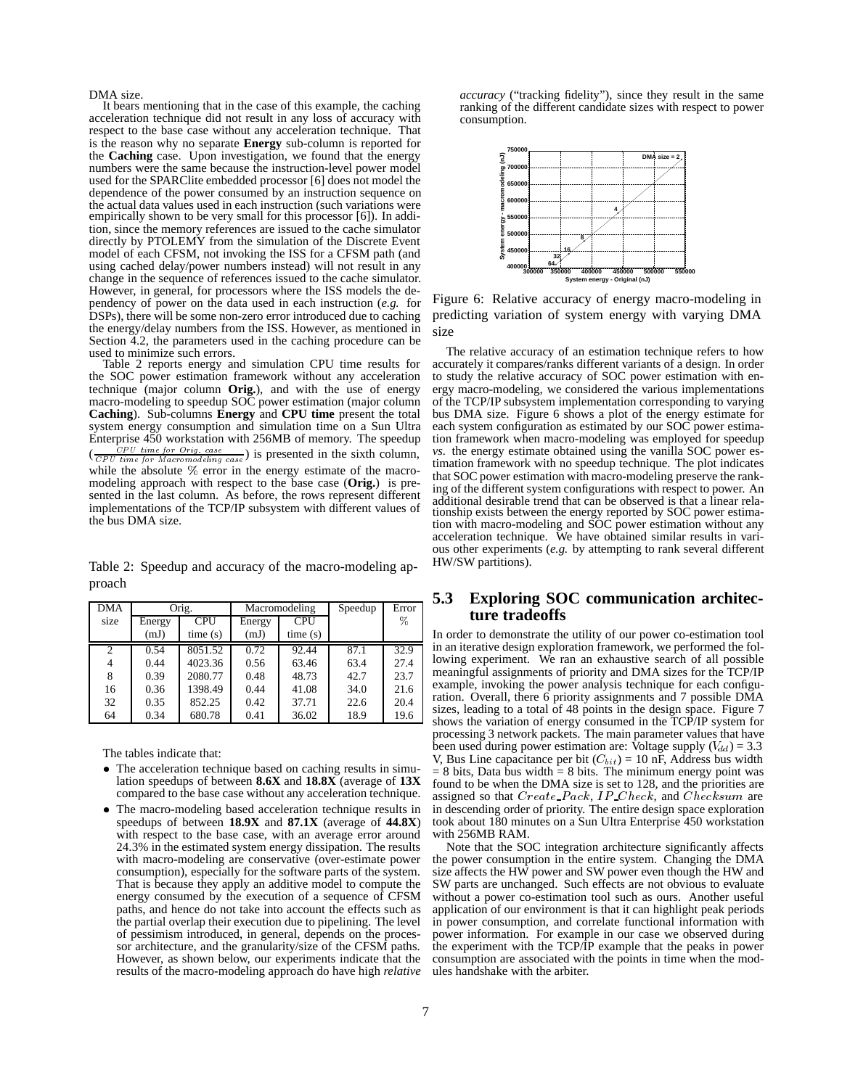### DMA size.

It bears mentioning that in the case of this example, the caching acceleration technique did not result in any loss of accuracy with respect to the base case without any acceleration technique. That is the reason why no separate **Energy** sub-column is reported for the **Caching** case. Upon investigation, we found that the energy numbers were the same because the instruction-level power model used for the SPARClite embedded processor [6] does not model the dependence of the power consumed by an instruction sequence on the actual data values used in each instruction (such variations were empirically shown to be very small for this processor [6]). In addition, since the memory references are issued to the cache simulator directly by PTOLEMY from the simulation of the Discrete Event model of each CFSM, not invoking the ISS for a CFSM path (and using cached delay/power numbers instead) will not result in any change in the sequence of references issued to the cache simulator. However, in general, for processors where the ISS models the dependency of power on the data used in each instruction (*e.g.* for DSPs), there will be some non-zero error introduced due to caching the energy/delay numbers from the ISS. However, as mentioned in Section 4.2, the parameters used in the caching procedure can be used to minimize such errors.

Table 2 reports energy and simulation CPU time results for the SOC power estimation framework without any acceleration technique (major column **Orig.**), and with the use of energy macro-modeling to speedup SOC power estimation (major column **Caching**). Sub-columns **Energy** and **CPU time** present the total system energy consumption and simulation time on a Sun Ultra Enterprise 450 workstation with 256MB of memory. The speedup  $(\frac{CPU \ time \ for \ Org. case}{CPU \ time \ for \ Macromodeling \ case})$  is presented in the sixth column, while the absolute % error in the energy estimate of the macromodeling approach with respect to the base case (**Orig.**) is presented in the last column. As before, the rows represent different implementations of the TCP/IP subsystem with different values of the bus DMA size.

Table 2: Speedup and accuracy of the macro-modeling approach

| <b>DMA</b> | Orig.  |            | Macromodeling |            | Speedup | Error |                          |
|------------|--------|------------|---------------|------------|---------|-------|--------------------------|
| size       | Energy | <b>CPU</b> | Energy        | <b>CPU</b> |         | %     | tı                       |
|            | (mJ)   | time(s)    | (mJ)          | time(s)    |         |       | In order t               |
| 2          | 0.54   | 8051.52    | 0.72          | 92.44      | 87.1    | 32.9  | in an itera              |
| 4          | 0.44   | 4023.36    | 0.56          | 63.46      | 63.4    | 27.4  | lowing ex                |
| 8          | 0.39   | 2080.77    | 0.48          | 48.73      | 42.7    | 23.7  | meaningf                 |
| 16         | 0.36   | 1398.49    | 0.44          | 41.08      | 34.0    | 21.6  | example,                 |
| 32         | 0.35   | 852.25     | 0.42          | 37.71      | 22.6    | 20.4  | ration. O<br>sizes, lead |
| 64         | 0.34   | 680.78     | 0.41          | 36.02      | 18.9    | 19.6  | مطه متعجمات              |

The tables indicate that:

- The acceleration technique based on caching results in simulation speedups of between **8.6X** and **18.8X** (average of **13X** compared to the base case without any acceleration technique.
- The macro-modeling based acceleration technique results in speedups of between **18.9X** and **87.1X** (average of **44.8X**) with respect to the base case, with an average error around 24.3% in the estimated system energy dissipation. The results with macro-modeling are conservative (over-estimate power consumption), especially for the software parts of the system. That is because they apply an additive model to compute the energy consumed by the execution of a sequence of CFSM paths, and hence do not take into account the effects such as the partial overlap their execution due to pipelining. The level of pessimism introduced, in general, depends on the processor architecture, and the granularity/size of the CFSM paths. However, as shown below, our experiments indicate that the results of the macro-modeling approach do have high *relative*

*accuracy* ("tracking fidelity"), since they result in the same ranking of the different candidate sizes with respect to power consumption.



Figure 6: Relative accuracy of energy macro-modeling in predicting variation of system energy with varying DMA size

The relative accuracy of an estimation technique refers to how accurately it compares/ranks different variants of a design. In order to study the relative accuracy of SOC power estimation with energy macro-modeling, we considered the various implementations of the TCP/IP subsystem implementation corresponding to varying bus DMA size. Figure 6 shows a plot of the energy estimate for each system configuration as estimated by our SOC power estimation framework when macro-modeling was employed for speedup *vs.* the energy estimate obtained using the vanilla SOC power estimation framework with no speedup technique. The plot indicates that SOC power estimation with macro-modeling preserve the ranking of the different system configurations with respect to power. An additional desirable trend that can be observed is that a linear relationship exists between the energy reported by SOC power estimation with macro-modeling and SOC power estimation without any acceleration technique. We have obtained similar results in various other experiments (*e.g.* by attempting to rank several different HW/SW partitions).

## **5.3 Exploring SOC communication architecture tradeoffs**

In order to demonstrate the utility of our power co-estimation tool in an iterative design exploration framework, we performed the following experiment. We ran an exhaustive search of all possible meaningful assignments of priority and DMA sizes for the TCP/IP example, invoking the power analysis technique for each configuration. Overall, there 6 priority assignments and 7 possible DMA sizes, leading to a total of 48 points in the design space. Figure 7 shows the variation of energy consumed in the TCP/IP system for processing 3 network packets. The main parameter values that have been used during power estimation are: Voltage supply  $(V_{dd}) = 3.3$ V, Bus Line capacitance per bit  $(C_{bit}) = 10$  nF, Address bus width  $= 8$  bits, Data bus width  $= 8$  bits. The minimum energy point was found to be when the DMA size is set to 128, and the priorities are assigned so that Create Pack, IP Check, and Checksum are in descending order of priority. The entire design space exploration took about 180 minutes on a Sun Ultra Enterprise 450 workstation with 256MB RAM.

Note that the SOC integration architecture significantly affects the power consumption in the entire system. Changing the DMA size affects the HW power and SW power even though the HW and SW parts are unchanged. Such effects are not obvious to evaluate without a power co-estimation tool such as ours. Another useful application of our environment is that it can highlight peak periods in power consumption, and correlate functional information with power information. For example in our case we observed during the experiment with the TCP/IP example that the peaks in power consumption are associated with the points in time when the modules handshake with the arbiter.